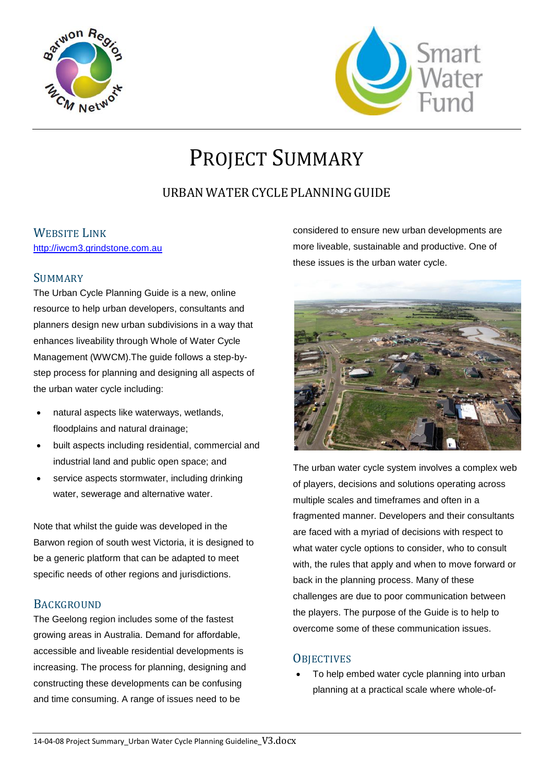



# PROJECT SUMMARY

# URBAN WATER CYCLE PLANNING GUIDE

# WEBSITE LINK [http://iwcm3.grindstone.com.au](http://iwcm3.grindstone.com.au/)

## **SUMMARY**

The Urban Cycle Planning Guide is a new, online resource to help urban developers, consultants and planners design new urban subdivisions in a way that enhances liveability through Whole of Water Cycle Management (WWCM).The guide follows a step-bystep process for planning and designing all aspects of the urban water cycle including:

- natural aspects like waterways, wetlands, floodplains and natural drainage;
- built aspects including residential, commercial and industrial land and public open space; and
- service aspects stormwater, including drinking water, sewerage and alternative water.

Note that whilst the guide was developed in the Barwon region of south west Victoria, it is designed to be a generic platform that can be adapted to meet specific needs of other regions and jurisdictions.

# **BACKGROUND**

The Geelong region includes some of the fastest growing areas in Australia. Demand for affordable, accessible and liveable residential developments is increasing. The process for planning, designing and constructing these developments can be confusing and time consuming. A range of issues need to be

considered to ensure new urban developments are more liveable, sustainable and productive. One of these issues is the urban water cycle.



The urban water cycle system involves a complex web of players, decisions and solutions operating across multiple scales and timeframes and often in a fragmented manner. Developers and their consultants are faced with a myriad of decisions with respect to what water cycle options to consider, who to consult with, the rules that apply and when to move forward or back in the planning process. Many of these challenges are due to poor communication between the players. The purpose of the Guide is to help to overcome some of these communication issues.

## **OBJECTIVES**

 To help embed water cycle planning into urban planning at a practical scale where whole-of-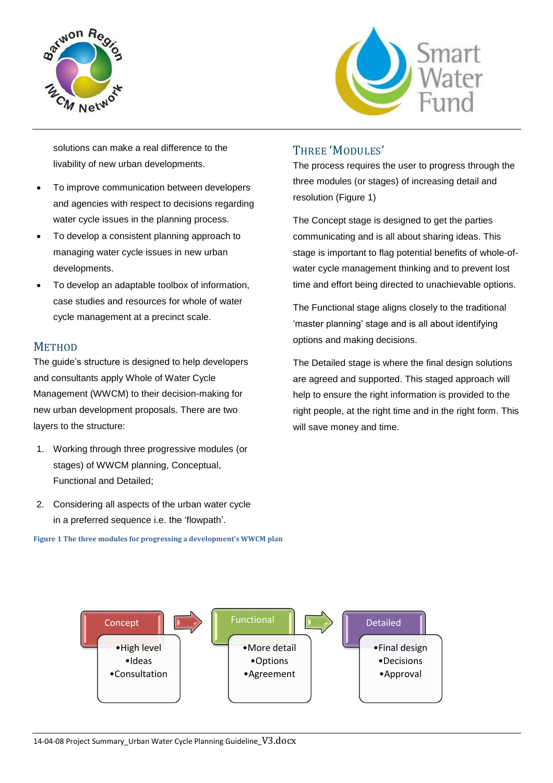



solutions can make a real difference to the livability of new urban developments.

- To improve communication between developers and agencies with respect to decisions regarding water cycle issues in the planning process.
- To develop a consistent planning approach to managing water cycle issues in new urban developments.
- To develop an adaptable toolbox of information, case studies and resources for whole of water cycle management at a precinct scale.

# **METHOD**

The guide's structure is designed to help developers and consultants apply Whole of Water Cycle Management (WWCM) to their decision-making for new urban development proposals. There are two layers to the structure:

- 1. Working through three progressive modules (or stages) of WWCM planning, Conceptual, Functional and Detailed;
- 2. Considering all aspects of the urban water cycle in a preferred sequence i.e. the 'flowpath'.

**Figure 1 The three modules for progressing a development's WWCM plan**

# THREE 'MODULES'

The process requires the user to progress through the three modules (or stages) of increasing detail and resolution (Figure 1)

The Concept stage is designed to get the parties communicating and is all about sharing ideas. This stage is important to flag potential benefits of whole-ofwater cycle management thinking and to prevent lost time and effort being directed to unachievable options.

The Functional stage aligns closely to the traditional 'master planning' stage and is all about identifying options and making decisions.

The Detailed stage is where the final design solutions are agreed and supported. This staged approach will help to ensure the right information is provided to the right people, at the right time and in the right form. This will save money and time.

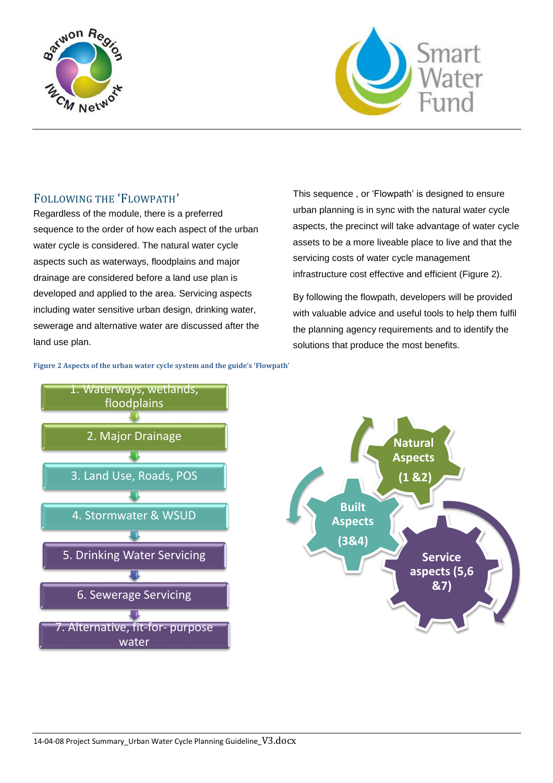



# FOLLOWING THE 'FLOWPATH'

Regardless of the module, there is a preferred sequence to the order of how each aspect of the urban water cycle is considered. The natural water cycle aspects such as waterways, floodplains and major drainage are considered before a land use plan is developed and applied to the area. Servicing aspects including water sensitive urban design, drinking water, sewerage and alternative water are discussed after the land use plan.

This sequence , or 'Flowpath' is designed to ensure urban planning is in sync with the natural water cycle aspects, the precinct will take advantage of water cycle assets to be a more liveable place to live and that the servicing costs of water cycle management infrastructure cost effective and efficient (Figure 2).

By following the flowpath, developers will be provided with valuable advice and useful tools to help them fulfil the planning agency requirements and to identify the solutions that produce the most benefits.